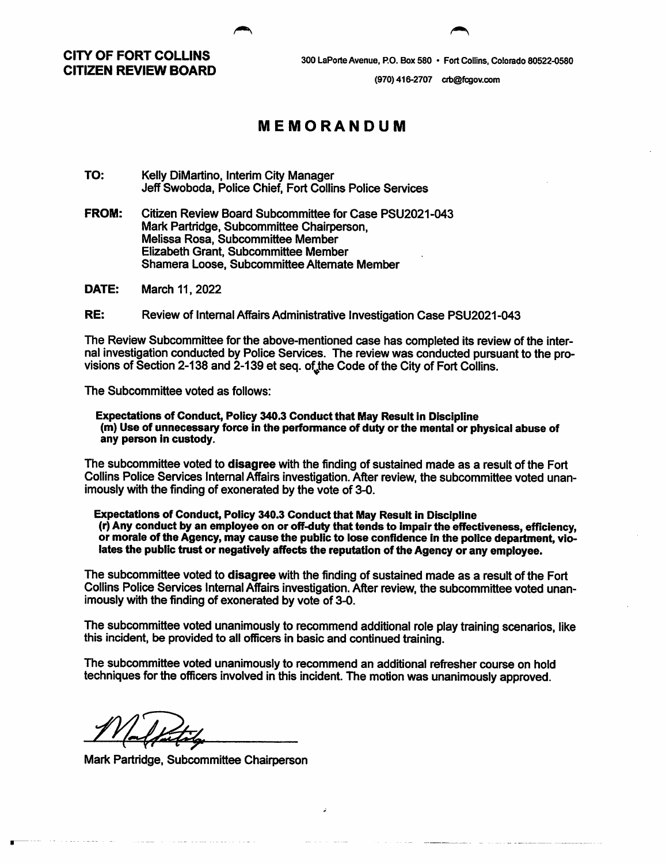CITY OF FORT COLLINS CITIZEN REVIEW BOARD

300 LaPorte Avenue, P.O. Box 580 • Fort Collins, Colorado 80522-0580

(970)416-2707 crb@fcgov.com

## MEMORANDUM

TO: Kelly DiMartino. Interim City Manager Jeff Swoboda, Police Chief, Fort Collins Police Services

FROM: Citizen Review Board Subcommittee for Case PSU2021-043 Mark Partridge, Subcommittee Chairperson, Melissa Rosa, Subcommittee Member Elizabeth Grant, Subcommittee Member Shamera Loose, Subcommittee Alternate Member

DATE: March 11, 2022

RE: Review of Intemal Affairs Administrative Investigation Case PSU2021-043

The Review Subcommittee for the above-mentioned case has completed its review of the inter nal investigation conducted by Police Services. The review was conducted pursuant to the pro visions of Section 2-138 and 2-139 et seq. of the Code of the City of Fort Collins.

The Subcommittee voted as follows;

Expectations of Conduct, Policy 340.3 Conduct that May Result in Discipline (m) Use of unnecessary force in the performance of duty or the mental or physical abuse of any person in custody.

The subcommittee voted to disagree with the finding of sustained made as a result of the Fort Collins Police Services Intemal Affairs investigation. After review, the subcommittee voted unan imously with the finding of exonerated by the vote of 3-0.

Expectations of Conduct, Policy 340.3 Conduct that May Result in Discipline (r) Any conduct by an employee on or off-duty that tends to Impair the effectiveness, efficiency, or morale of the Agency, may cause the public to lose confidence In the police department, vio lates the public trust or negatively affects the reputation of the Agency or any employee.

The subcommittee voted to disagree with the finding of sustained made as a result of the Fort Collins Police Services Intemal Affairs investigation. After review, the subcommittee voted unan imously with the finding of exonerated by vote of 3-0.

The subcommittee voted unanimously to recommend additional role play training scenarios, like this incident, be provided to all officers in basic and continued training.

The subcommittee voted unanimously to recommend an additional refr^esher course on hold techniques for the officers involved in this incident. The motion was unanimously approved.

Mark Partridge, Subcommittee Chairperson